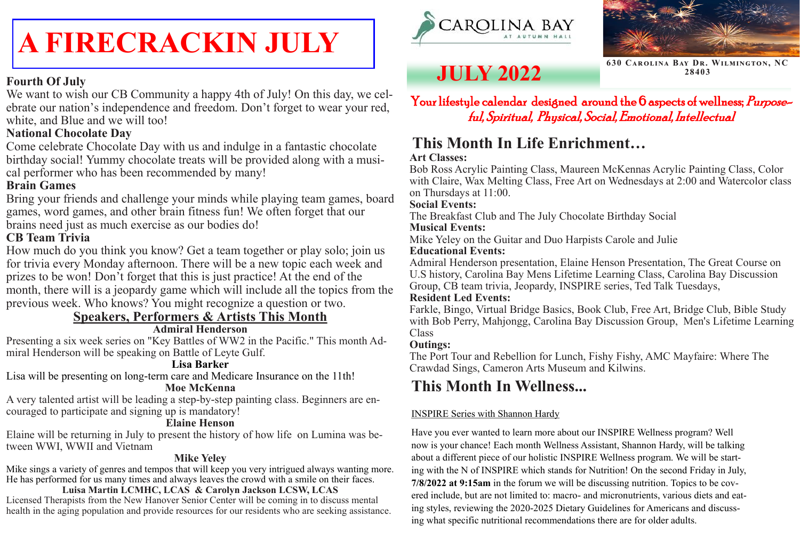#### Your lifestyle calendar designed around the 6 aspects of wellness; Purposeful, Spiritual, Physical, Social, Emotional, Intellectual

## **JULY 2022**

#### **This Month In Life Enrichment… Art Classes:**

Bob Ross Acrylic Painting Class, Maureen McKennas Acrylic Painting Class, Color with Claire, Wax Melting Class, Free Art on Wednesdays at 2:00 and Watercolor class on Thursdays at 11:00.

#### **Social Events:**

The Breakfast Club and The July Chocolate Birthday Social **Musical Events:**

Mike Yeley on the Guitar and Duo Harpists Carole and Julie **Educational Events:**

Admiral Henderson presentation, Elaine Henson Presentation, The Great Course on U.S history, Carolina Bay Mens Lifetime Learning Class, Carolina Bay Discussion Group, CB team trivia, Jeopardy, INSPIRE series, Ted Talk Tuesdays,

#### **Resident Led Events:**

Farkle, Bingo, Virtual Bridge Basics, Book Club, Free Art, Bridge Club, Bible Study with Bob Perry, Mahjongg, Carolina Bay Discussion Group, Men's Lifetime Learning Class

#### **Outings:**

The Port Tour and Rebellion for Lunch, Fishy Fishy, AMC Mayfaire: Where The Crawdad Sings, Cameron Arts Museum and Kilwins.

#### **Fourth Of July**

We want to wish our CB Community a happy 4th of July! On this day, we celebrate our nation's independence and freedom. Don't forget to wear your red, white, and Blue and we will too!

#### **National Chocolate Day**

Come celebrate Chocolate Day with us and indulge in a fantastic chocolate birthday social! Yummy chocolate treats will be provided along with a musical performer who has been recommended by many!

#### **Brain Games**

Bring your friends and challenge your minds while playing team games, board games, word games, and other brain fitness fun! We often forget that our brains need just as much exercise as our bodies do!

#### **CB Team Trivia**

How much do you think you know? Get a team together or play solo; join us for trivia every Monday afternoon. There will be a new topic each week and prizes to be won! Don't forget that this is just practice! At the end of the month, there will is a jeopardy game which will include all the topics from the previous week. Who knows? You might recognize a question or two.

#### **Speakers, Performers & Artists This Month**

#### **Admiral Henderson**

Presenting a six week series on "Key Battles of WW2 in the Pacific." This month Admiral Henderson will be speaking on Battle of Leyte Gulf.

#### **Lisa Barker**

Lisa will be presenting on long-term care and Medicare Insurance on the 11th!

#### **Moe McKenna**

A very talented artist will be leading a step-by-step painting class. Beginners are encouraged to participate and signing up is mandatory!

#### **Elaine Henson**

Elaine will be returning in July to present the history of how life on Lumina was between WWI, WWII and Vietnam

#### **Mike Yeley**

Mike sings a variety of genres and tempos that will keep you very intrigued always wanting more. He has performed for us many times and always leaves the crowd with a smile on their faces.

#### **Luisa Martin LCMHC, LCAS & Carolyn Jackson LCSW, LCAS** Licensed Therapists from the New Hanover Senior Center will be coming in to discuss mental health in the aging population and provide resources for our residents who are seeking assistance.





**630 Carolina Bay Dr. Wilmington, NC 28403**

# **A FIRECRACKIN JULY**

### **This Month In Wellness...**

#### INSPIRE Series with Shannon Hardy

Have you ever wanted to learn more about our INSPIRE Wellness program? Well now is your chance! Each month Wellness Assistant, Shannon Hardy, will be talking about a different piece of our holistic INSPIRE Wellness program. We will be starting with the N of INSPIRE which stands for Nutrition! On the second Friday in July, **7/8/2022 at 9:15am** in the forum we will be discussing nutrition. Topics to be covered include, but are not limited to: macro- and micronutrients, various diets and eating styles, reviewing the 2020-2025 Dietary Guidelines for Americans and discussing what specific nutritional recommendations there are for older adults.